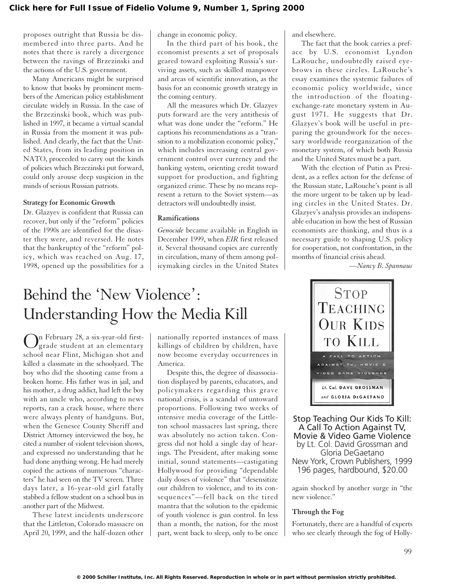proposes outright that Russia be dismembered into three parts. And he notes that there is rarely a divergence between the ravings of Brzezinski and the actions of the U.S. government.

Many Americans might be surprised to know that books by prominent members of the American policy establishment circulate widely in Russia. In the case of the Brzezinski book, which was published in 1997, it became a virtual scandal in Russia from the moment it was published. And clearly, the fact that the United States, from its leading position in NATO, proceeded to carry out the kinds of policies which Brzezinski put forward, could only arouse deep suspicion in the minds of serious Russian patriots.

### **Strategy for Economic Growth**

Dr. Glazyev is confident that Russia can recover, but only if the "reform" policies of the 1990s are identified for the disaster they were, and reversed. He notes that the bankruptcy of the "reform" policy, which was reached on Aug. 17, 1998, opened up the possibilities for a change in economic policy.

In the third part of his book, the economist presents a set of proposals geared toward exploiting Russia's surviving assets, such as skilled manpower and areas of scientific innovation, as the basis for an economic growth strategy in the coming century.

All the measures which Dr. Glazyev puts forward are the very antithesis of what was done under the "reform." He captions his recommendations as a "transition to a mobilization economic policy," which includes increasing central government control over currency and the banking system, orienting credit toward support for production, and fighting organized crime. These by no means represent a return to the Soviet system—as detractors will undoubtedly insist.

#### **Ramifications**

*Genocide* became available in English in December 1999, when *EIR* first released it. Several thousand copies are currently in circulation, many of them among policymaking circles in the United States and elsewhere.

The fact that the book carries a preface by U.S. economist Lyndon LaRouche, undoubtedly raised eyebrows in these circles. LaRouche's essay examines the systemic failures of economic policy worldwide, since the introduction of the floatingexchange-rate monetary system in August 1971. He suggests that Dr. Glazyev's book will be useful in preparing the groundwork for the necessary worldwide reorganization of the monetary system, of which both Russia and the United States must be a part.

With the election of Putin as President, as a reflex action for the defense of the Russian state, LaRouche's point is all the more urgent to be taken up by leading circles in the United States. Dr. Glazyev's analysis provides an indispensable education in how the best of Russian economists are thinking, and thus is a necessary guide to shaping U.S. policy for cooperation, not confrontation, in the months of financial crisis ahead.

*—Nancy B. Spannaus*

# Behind the 'New Violence': Understanding How the Media Kill

On February 28, a six-year-old first-grade student at an elementary school near Flint, Michigan shot and killed a classmate in the schoolyard. The boy who did the shooting came from a broken home. His father was in jail, and his mother, a drug addict, had left the boy with an uncle who, according to news reports, ran a crack house, where there were always plenty of handguns. But, when the Genesee County Sheriff and District Attorney interviewed the boy, he cited a number of violent television shows, and expressed no understanding that he had done anything wrong. He had merely copied the actions of numerous "characters" he had seen on the TV screen. Three days later, a 16-year-old girl fatally stabbed a fellow student on a school bus in another part of the Midwest.

These latest incidents underscore that the Littleton, Colorado massacre on April 20, 1999, and the half-dozen other

nationally reported instances of mass killings of children by children, have now become everyday occurrences in America.

Despite this, the degree of disassociation displayed by parents, educators, and policymakers regarding this grave national crisis, is a scandal of untoward proportions. Following two weeks of intensive media coverage of the Littleton school massacres last spring, there was absolutely no action taken. Congress did not hold a single day of hearings. The President, after making some initial, sound statements—castigating Hollywood for providing "dependable daily doses of violence" that "desensitize our children to violence, and to its consequences"—fell back on the tired mantra that the solution to the epidemic of youth violence is gun control. In less than a month, the nation, for the most part, went back to sleep, only to be once



Stop Teaching Our Kids To Kill: A Call To Action Against TV, Movie & Video Game Violence by Lt. Col. David Grossman and Gloria DeGaetano New York, Crown Publishers, 1999 196 pages, hardbound, \$20.00

again shocked by another surge in "the new violence."

#### **Through the Fog**

Fortunately, there are a handful of experts who see clearly through the fog of Holly-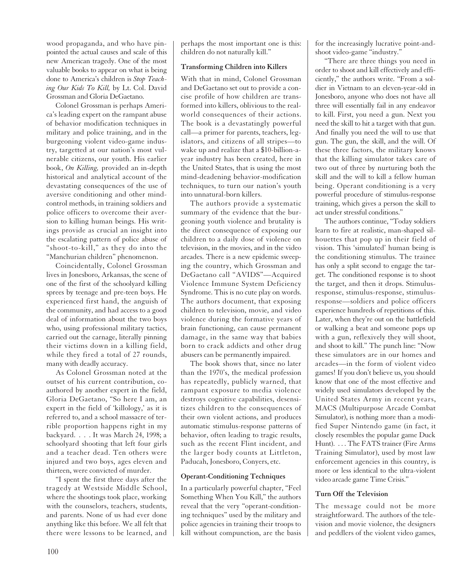wood propaganda, and who have pinpointed the actual causes and scale of this new American tragedy. One of the most valuable books to appear on what is being done to America's children is *Stop Teaching Our Kids To Kill,* by Lt. Col. David Grossman and Gloria DeGaetano.

Colonel Grossman is perhaps America's leading expert on the rampant abuse of behavior modification techniques in military and police training, and in the burgeoning violent video-game industry, targetted at our nation's most vulnerable citizens, our youth. His earlier book, *On Killing,* provided an in-depth historical and analytical account of the devastating consequences of the use of aversive conditioning and other mindcontrol methods, in training soldiers and police officers to overcome their aversion to killing human beings. His writings provide as crucial an insight into the escalating pattern of police abuse of "shoot-to-kill," as they do into the "Manchurian children" phenomenon.

Coincidentally, Colonel Grossman lives in Jonesboro, Arkansas, the scene of one of the first of the schoolyard killing sprees by teenage and pre-teen boys. He experienced first hand, the anguish of the community, and had access to a good deal of information about the two boys who, using professional military tactics, carried out the carnage, literally pinning their victims down in a killing field, while they fired a total of 27 rounds, many with deadly accuracy.

As Colonel Grossman noted at the outset of his current contribution, coauthored by another expert in the field, Gloria DeGaetano, "So here I am, an expert in the field of 'killology,' as it is referred to, and a school massacre of terrible proportion happens right in my backyard. . . . It was March 24, 1998; a schoolyard shooting that left four girls and a teacher dead. Ten others were injured and two boys, ages eleven and thirteen, were convicted of murder.

"I spent the first three days after the tragedy at Westside Middle School, where the shootings took place, working with the counselors, teachers, students, and parents. None of us had ever done anything like this before. We all felt that there were lessons to be learned, and

perhaps the most important one is this: children do not naturally kill."

# **Transforming Children into Killers**

With that in mind, Colonel Grossman and DeGaetano set out to provide a concise profile of how children are transformed into killers, oblivious to the realworld consequences of their actions. The book is a devastatingly powerful call—a primer for parents, teachers, legislators, and citizens of all stripes—to wake up and realize that a \$10-billion-ayear industry has been created, here in the United States, that is using the most mind-deadening behavior-modification techniques, to turn our nation's youth into unnatural-born killers.

The authors provide a systematic summary of the evidence that the burgeoning youth violence and brutality is the direct consequence of exposing our children to a daily dose of violence on television, in the movies, and in the video arcades. There is a new epidemic sweeping the country, which Grossman and DeGaetano call "AVIDS"—Acquired Violence Immune System Deficiency Syndrome. This is no cute play on words. The authors document, that exposing children to television, movie, and video violence during the formative years of brain functioning, can cause permanent damage, in the same way that babies born to crack addicts and other drug abusers can be permanently impaired.

The book shows that, since no later than the 1970's, the medical profession has repeatedly, publicly warned, that rampant exposure to media violence destroys cognitive capabilities, desensitizes children to the consequences of their own violent actions, and produces automatic stimulus-response patterns of behavior, often leading to tragic results, such as the recent Flint incident, and the larger body counts at Littleton, Paducah, Jonesboro, Conyers, etc.

# **Operant-Conditioning Techniques**

In a particularly powerful chapter, "Feel Something When You Kill," the authors reveal that the very "operant-conditioning techniques" used by the military and police agencies in training their troops to kill without compunction, are the basis for the increasingly lucrative point-andshoot video-game "industry."

"There are three things you need in order to shoot and kill effectively and efficiently," the authors write. "From a soldier in Vietnam to an eleven-year-old in Jonesboro, anyone who does not have all three will essentially fail in any endeavor to kill. First, you need a gun. Next you need the skill to hit a target with that gun. And finally you need the will to use that gun. The gun, the skill, and the will. Of these three factors, the military knows that the killing simulator takes care of two out of three by nurturing both the skill and the will to kill a fellow human being. Operant conditioning is a very powerful procedure of stimulus-response training, which gives a person the skill to act under stressful conditions."

The authors continue, "Today soldiers learn to fire at realistic, man-shaped silhouettes that pop up in their field of vision. This 'simulated' human being is the conditioning stimulus. The trainee has only a split second to engage the target. The conditioned response is to shoot the target, and then it drops. Stimulusresponse, stimulus-response, stimulusresponse—soldiers and police officers experience hundreds of repetitions of this. Later, when they're out on the battlefield or walking a beat and someone pops up with a gun, reflexively they will shoot, and shoot to kill." The punch line: "Now these simulators are in our homes and arcades—in the form of violent video games! If you don't believe us, you should know that one of the most effective and widely used simulators developed by the United States Army in recent years, MACS (Multipurpose Arcade Combat Simulator), is nothing more than a modified Super Nintendo game (in fact, it closely resembles the popular game Duck Hunt). . . . The FATS trainer (Fire Arms Training Simulator), used by most law enforcement agencies in this country, is more or less identical to the ultra-violent video arcade game Time Crisis."

# **Turn Off the Television**

The message could not be more straightforward. The authors of the television and movie violence, the designers and peddlers of the violent video games,